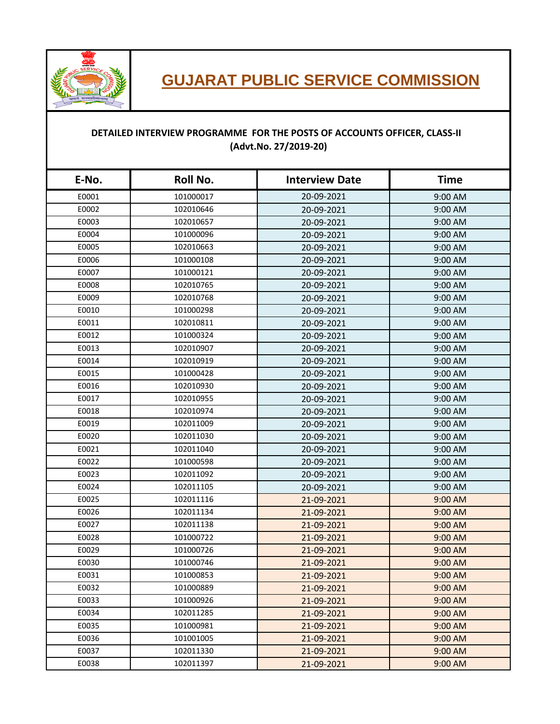

## **GUJARAT PUBLIC SERVICE COMMISSION**

## **DETAILED INTERVIEW PROGRAMME FOR THE POSTS OF ACCOUNTS OFFICER, CLASS-II (Advt.No. 27/2019-20)**

| E-No. | Roll No.  | <b>Interview Date</b> | <b>Time</b> |
|-------|-----------|-----------------------|-------------|
| E0001 | 101000017 | 20-09-2021            | 9:00 AM     |
| E0002 | 102010646 | 20-09-2021            | 9:00 AM     |
| E0003 | 102010657 | 20-09-2021            | 9:00 AM     |
| E0004 | 101000096 | 20-09-2021            | 9:00 AM     |
| E0005 | 102010663 | 20-09-2021            | 9:00 AM     |
| E0006 | 101000108 | 20-09-2021            | 9:00 AM     |
| E0007 | 101000121 | 20-09-2021            | 9:00 AM     |
| E0008 | 102010765 | 20-09-2021            | 9:00 AM     |
| E0009 | 102010768 | 20-09-2021            | 9:00 AM     |
| E0010 | 101000298 | 20-09-2021            | 9:00 AM     |
| E0011 | 102010811 | 20-09-2021            | 9:00 AM     |
| E0012 | 101000324 | 20-09-2021            | 9:00 AM     |
| E0013 | 102010907 | 20-09-2021            | 9:00 AM     |
| E0014 | 102010919 | 20-09-2021            | 9:00 AM     |
| E0015 | 101000428 | 20-09-2021            | 9:00 AM     |
| E0016 | 102010930 | 20-09-2021            | 9:00 AM     |
| E0017 | 102010955 | 20-09-2021            | 9:00 AM     |
| E0018 | 102010974 | 20-09-2021            | 9:00 AM     |
| E0019 | 102011009 | 20-09-2021            | 9:00 AM     |
| E0020 | 102011030 | 20-09-2021            | 9:00 AM     |
| E0021 | 102011040 | 20-09-2021            | 9:00 AM     |
| E0022 | 101000598 | 20-09-2021            | 9:00 AM     |
| E0023 | 102011092 | 20-09-2021            | $9:00$ AM   |
| E0024 | 102011105 | 20-09-2021            | 9:00 AM     |
| E0025 | 102011116 | 21-09-2021            | 9:00 AM     |
| E0026 | 102011134 | 21-09-2021            | 9:00 AM     |
| E0027 | 102011138 | 21-09-2021            | 9:00 AM     |
| E0028 | 101000722 | 21-09-2021            | 9:00 AM     |
| E0029 | 101000726 | 21-09-2021            | 9:00 AM     |
| E0030 | 101000746 | 21-09-2021            | 9:00 AM     |
| E0031 | 101000853 | 21-09-2021            | 9:00 AM     |
| E0032 | 101000889 | 21-09-2021            | 9:00 AM     |
| E0033 | 101000926 | 21-09-2021            | $9:00$ AM   |
| E0034 | 102011285 | 21-09-2021            | 9:00 AM     |
| E0035 | 101000981 | 21-09-2021            | 9:00 AM     |
| E0036 | 101001005 | 21-09-2021            | 9:00 AM     |
| E0037 | 102011330 | 21-09-2021            | 9:00 AM     |
| E0038 | 102011397 | 21-09-2021            | 9:00 AM     |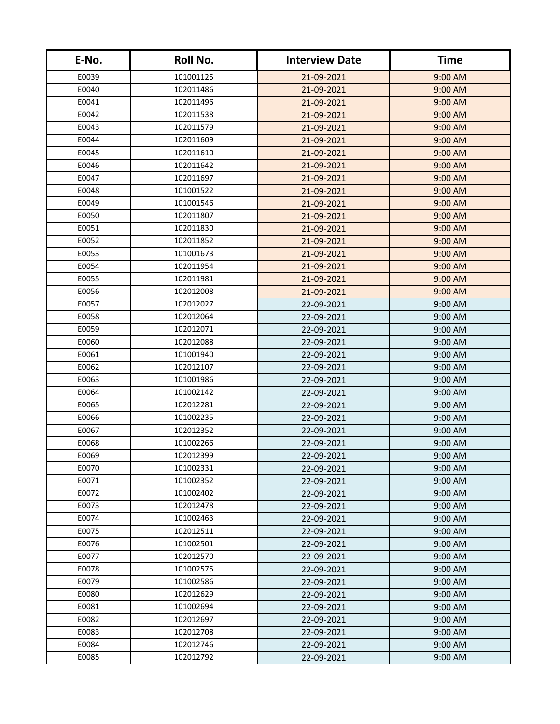| E-No. | Roll No.  | <b>Interview Date</b> | <b>Time</b> |
|-------|-----------|-----------------------|-------------|
| E0039 | 101001125 | 21-09-2021            | 9:00 AM     |
| E0040 | 102011486 | 21-09-2021            | 9:00 AM     |
| E0041 | 102011496 | 21-09-2021            | 9:00 AM     |
| E0042 | 102011538 | 21-09-2021            | 9:00 AM     |
| E0043 | 102011579 | 21-09-2021            | 9:00 AM     |
| E0044 | 102011609 | 21-09-2021            | 9:00 AM     |
| E0045 | 102011610 | 21-09-2021            | 9:00 AM     |
| E0046 | 102011642 | 21-09-2021            | 9:00 AM     |
| E0047 | 102011697 | 21-09-2021            | 9:00 AM     |
| E0048 | 101001522 | 21-09-2021            | 9:00 AM     |
| E0049 | 101001546 | 21-09-2021            | 9:00 AM     |
| E0050 | 102011807 | 21-09-2021            | 9:00 AM     |
| E0051 | 102011830 | 21-09-2021            | 9:00 AM     |
| E0052 | 102011852 | 21-09-2021            | 9:00 AM     |
| E0053 | 101001673 | 21-09-2021            | 9:00 AM     |
| E0054 | 102011954 | 21-09-2021            | 9:00 AM     |
| E0055 | 102011981 | 21-09-2021            | 9:00 AM     |
| E0056 | 102012008 | 21-09-2021            | 9:00 AM     |
| E0057 | 102012027 | 22-09-2021            | 9:00 AM     |
| E0058 | 102012064 | 22-09-2021            | 9:00 AM     |
| E0059 | 102012071 | 22-09-2021            | $9:00$ AM   |
| E0060 | 102012088 | 22-09-2021            | 9:00 AM     |
| E0061 | 101001940 | 22-09-2021            | 9:00 AM     |
| E0062 | 102012107 | 22-09-2021            | 9:00 AM     |
| E0063 | 101001986 | 22-09-2021            | 9:00 AM     |
| E0064 | 101002142 | 22-09-2021            | 9:00 AM     |
| E0065 | 102012281 | 22-09-2021            | 9:00 AM     |
| E0066 | 101002235 | 22-09-2021            | 9:00 AM     |
| E0067 | 102012352 | 22-09-2021            | 9:00 AM     |
| E0068 | 101002266 | 22-09-2021            | 9:00 AM     |
| E0069 | 102012399 | 22-09-2021            | 9:00 AM     |
| E0070 | 101002331 | 22-09-2021            | 9:00 AM     |
| E0071 | 101002352 | 22-09-2021            | 9:00 AM     |
| E0072 | 101002402 | 22-09-2021            | 9:00 AM     |
| E0073 | 102012478 | 22-09-2021            | 9:00 AM     |
| E0074 | 101002463 | 22-09-2021            | 9:00 AM     |
| E0075 | 102012511 | 22-09-2021            | 9:00 AM     |
| E0076 | 101002501 | 22-09-2021            | 9:00 AM     |
| E0077 | 102012570 | 22-09-2021            | 9:00 AM     |
| E0078 | 101002575 | 22-09-2021            | 9:00 AM     |
| E0079 | 101002586 | 22-09-2021            | $9:00$ AM   |
| E0080 | 102012629 | 22-09-2021            | 9:00 AM     |
| E0081 | 101002694 | 22-09-2021            | 9:00 AM     |
| E0082 | 102012697 | 22-09-2021            | 9:00 AM     |
| E0083 | 102012708 | 22-09-2021            | 9:00 AM     |
| E0084 | 102012746 | 22-09-2021            | 9:00 AM     |
| E0085 | 102012792 | 22-09-2021            | $9:00$ AM   |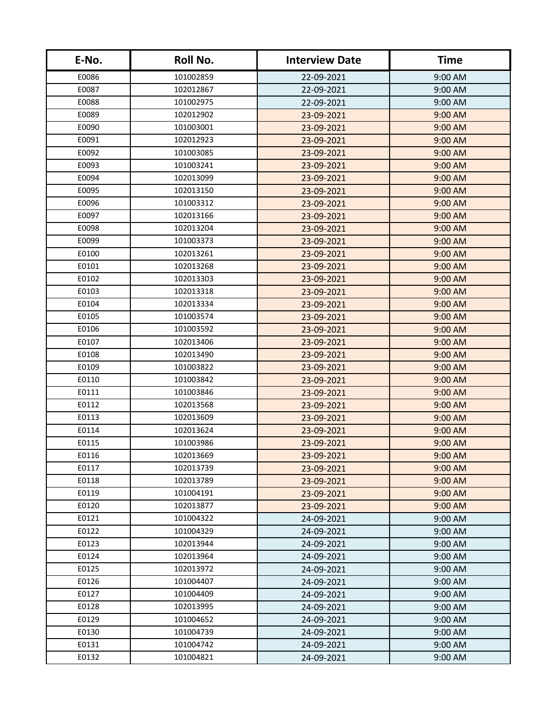| E-No. | Roll No.  | <b>Interview Date</b> | <b>Time</b> |
|-------|-----------|-----------------------|-------------|
| E0086 | 101002859 | 22-09-2021            | 9:00 AM     |
| E0087 | 102012867 | 22-09-2021            | 9:00 AM     |
| E0088 | 101002975 | 22-09-2021            | 9:00 AM     |
| E0089 | 102012902 | 23-09-2021            | 9:00 AM     |
| E0090 | 101003001 | 23-09-2021            | 9:00 AM     |
| E0091 | 102012923 | 23-09-2021            | 9:00 AM     |
| E0092 | 101003085 | 23-09-2021            | 9:00 AM     |
| E0093 | 101003241 | 23-09-2021            | 9:00 AM     |
| E0094 | 102013099 | 23-09-2021            | 9:00 AM     |
| E0095 | 102013150 | 23-09-2021            | 9:00 AM     |
| E0096 | 101003312 | 23-09-2021            | 9:00 AM     |
| E0097 | 102013166 | 23-09-2021            | 9:00 AM     |
| E0098 | 102013204 | 23-09-2021            | 9:00 AM     |
| E0099 | 101003373 | 23-09-2021            | 9:00 AM     |
| E0100 | 102013261 | 23-09-2021            | 9:00 AM     |
| E0101 | 102013268 | 23-09-2021            | 9:00 AM     |
| E0102 | 102013303 | 23-09-2021            | 9:00 AM     |
| E0103 | 102013318 | 23-09-2021            | 9:00 AM     |
| E0104 | 102013334 | 23-09-2021            | 9:00 AM     |
| E0105 | 101003574 | 23-09-2021            | 9:00 AM     |
| E0106 | 101003592 | 23-09-2021            | $9:00$ AM   |
| E0107 | 102013406 | 23-09-2021            | 9:00 AM     |
| E0108 | 102013490 | 23-09-2021            | 9:00 AM     |
| E0109 | 101003822 | 23-09-2021            | 9:00 AM     |
| E0110 | 101003842 | 23-09-2021            | 9:00 AM     |
| E0111 | 101003846 | 23-09-2021            | 9:00 AM     |
| E0112 | 102013568 | 23-09-2021            | 9:00 AM     |
| E0113 | 102013609 | 23-09-2021            | 9:00 AM     |
| E0114 | 102013624 | 23-09-2021            | 9:00 AM     |
| E0115 | 101003986 | 23-09-2021            | 9:00 AM     |
| E0116 | 102013669 | 23-09-2021            | 9:00 AM     |
| E0117 | 102013739 | 23-09-2021            | 9:00 AM     |
| E0118 | 102013789 | 23-09-2021            | 9:00 AM     |
| E0119 | 101004191 | 23-09-2021            | 9:00 AM     |
| E0120 | 102013877 | 23-09-2021            | 9:00 AM     |
| E0121 | 101004322 | 24-09-2021            | 9:00 AM     |
| E0122 | 101004329 | 24-09-2021            | $9:00$ AM   |
| E0123 | 102013944 | 24-09-2021            | 9:00 AM     |
| E0124 | 102013964 | 24-09-2021            | 9:00 AM     |
| E0125 | 102013972 | 24-09-2021            | 9:00 AM     |
| E0126 | 101004407 | 24-09-2021            | $9:00$ AM   |
| E0127 | 101004409 | 24-09-2021            | 9:00 AM     |
| E0128 | 102013995 | 24-09-2021            | 9:00 AM     |
| E0129 | 101004652 | 24-09-2021            | 9:00 AM     |
| E0130 | 101004739 | 24-09-2021            | 9:00 AM     |
| E0131 | 101004742 | 24-09-2021            | 9:00 AM     |
| E0132 | 101004821 | 24-09-2021            | $9:00$ AM   |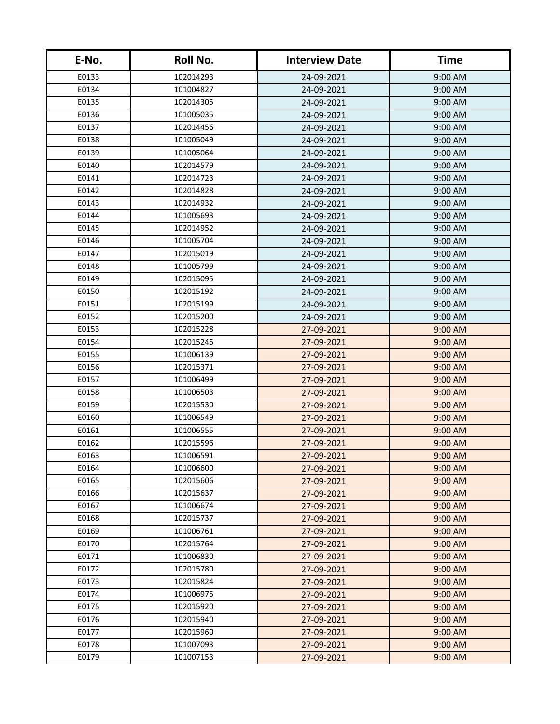| E-No. | Roll No.  | <b>Interview Date</b> | <b>Time</b> |
|-------|-----------|-----------------------|-------------|
| E0133 | 102014293 | 24-09-2021            | 9:00 AM     |
| E0134 | 101004827 | 24-09-2021            | 9:00 AM     |
| E0135 | 102014305 | 24-09-2021            | 9:00 AM     |
| E0136 | 101005035 | 24-09-2021            | 9:00 AM     |
| E0137 | 102014456 | 24-09-2021            | 9:00 AM     |
| E0138 | 101005049 | 24-09-2021            | 9:00 AM     |
| E0139 | 101005064 | 24-09-2021            | 9:00 AM     |
| E0140 | 102014579 | 24-09-2021            | 9:00 AM     |
| E0141 | 102014723 | 24-09-2021            | 9:00 AM     |
| E0142 | 102014828 | 24-09-2021            | 9:00 AM     |
| E0143 | 102014932 | 24-09-2021            | $9:00$ AM   |
| E0144 | 101005693 | 24-09-2021            | 9:00 AM     |
| E0145 | 102014952 | 24-09-2021            | 9:00 AM     |
| E0146 | 101005704 | 24-09-2021            | 9:00 AM     |
| E0147 | 102015019 | 24-09-2021            | 9:00 AM     |
| E0148 | 101005799 | 24-09-2021            | 9:00 AM     |
| E0149 | 102015095 | 24-09-2021            | 9:00 AM     |
| E0150 | 102015192 | 24-09-2021            | 9:00 AM     |
| E0151 | 102015199 | 24-09-2021            | 9:00 AM     |
| E0152 | 102015200 | 24-09-2021            | 9:00 AM     |
| E0153 | 102015228 | 27-09-2021            | $9:00$ AM   |
| E0154 | 102015245 | 27-09-2021            | 9:00 AM     |
| E0155 | 101006139 | 27-09-2021            | 9:00 AM     |
| E0156 | 102015371 | 27-09-2021            | 9:00 AM     |
| E0157 | 101006499 | 27-09-2021            | 9:00 AM     |
| E0158 | 101006503 | 27-09-2021            | 9:00 AM     |
| E0159 | 102015530 | 27-09-2021            | 9:00 AM     |
| E0160 | 101006549 | 27-09-2021            | 9:00 AM     |
| E0161 | 101006555 | 27-09-2021            | 9:00 AM     |
| E0162 | 102015596 | 27-09-2021            | 9:00 AM     |
| E0163 | 101006591 | 27-09-2021            | 9:00 AM     |
| E0164 | 101006600 | 27-09-2021            | 9:00 AM     |
| E0165 | 102015606 | 27-09-2021            | 9:00 AM     |
| E0166 | 102015637 | 27-09-2021            | 9:00 AM     |
| E0167 | 101006674 | 27-09-2021            | 9:00 AM     |
| E0168 | 102015737 | 27-09-2021            | 9:00 AM     |
| E0169 | 101006761 | 27-09-2021            | 9:00 AM     |
| E0170 | 102015764 | 27-09-2021            | 9:00 AM     |
| E0171 | 101006830 | 27-09-2021            | 9:00 AM     |
| E0172 | 102015780 | 27-09-2021            | 9:00 AM     |
| E0173 | 102015824 | 27-09-2021            | $9:00$ AM   |
| E0174 | 101006975 | 27-09-2021            | 9:00 AM     |
| E0175 | 102015920 | 27-09-2021            | 9:00 AM     |
| E0176 | 102015940 | 27-09-2021            | 9:00 AM     |
| E0177 | 102015960 | 27-09-2021            | 9:00 AM     |
| E0178 | 101007093 | 27-09-2021            | 9:00 AM     |
| E0179 | 101007153 | 27-09-2021            | $9:00$ AM   |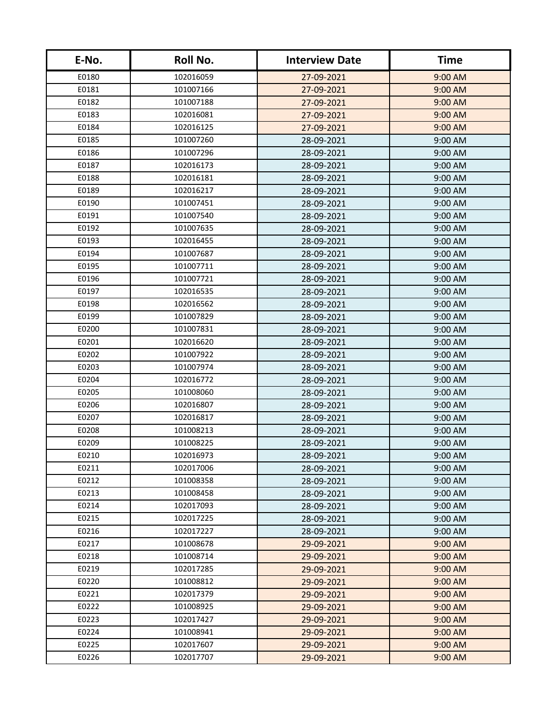| E-No. | <b>Roll No.</b> | <b>Interview Date</b> | <b>Time</b> |
|-------|-----------------|-----------------------|-------------|
| E0180 | 102016059       | 27-09-2021            | 9:00 AM     |
| E0181 | 101007166       | 27-09-2021            | 9:00 AM     |
| E0182 | 101007188       | 27-09-2021            | 9:00 AM     |
| E0183 | 102016081       | 27-09-2021            | 9:00 AM     |
| E0184 | 102016125       | 27-09-2021            | 9:00 AM     |
| E0185 | 101007260       | 28-09-2021            | $9:00$ AM   |
| E0186 | 101007296       | 28-09-2021            | 9:00 AM     |
| E0187 | 102016173       | 28-09-2021            | 9:00 AM     |
| E0188 | 102016181       | 28-09-2021            | 9:00 AM     |
| E0189 | 102016217       | 28-09-2021            | 9:00 AM     |
| E0190 | 101007451       | 28-09-2021            | 9:00 AM     |
| E0191 | 101007540       | 28-09-2021            | 9:00 AM     |
| E0192 | 101007635       | 28-09-2021            | 9:00 AM     |
| E0193 | 102016455       | 28-09-2021            | 9:00 AM     |
| E0194 | 101007687       | 28-09-2021            | 9:00 AM     |
| E0195 | 101007711       | 28-09-2021            | 9:00 AM     |
| E0196 | 101007721       | 28-09-2021            | 9:00 AM     |
| E0197 | 102016535       | 28-09-2021            | 9:00 AM     |
| E0198 | 102016562       | 28-09-2021            | 9:00 AM     |
| E0199 | 101007829       | 28-09-2021            | 9:00 AM     |
| E0200 | 101007831       | 28-09-2021            | 9:00 AM     |
| E0201 | 102016620       | 28-09-2021            | 9:00 AM     |
| E0202 | 101007922       | 28-09-2021            | 9:00 AM     |
| E0203 | 101007974       | 28-09-2021            | 9:00 AM     |
| E0204 | 102016772       | 28-09-2021            | 9:00 AM     |
| E0205 | 101008060       | 28-09-2021            | $9:00$ AM   |
| E0206 | 102016807       | 28-09-2021            | 9:00 AM     |
| E0207 | 102016817       | 28-09-2021            | 9:00 AM     |
| E0208 | 101008213       | 28-09-2021            | 9:00 AM     |
| E0209 | 101008225       | 28-09-2021            | 9:00 AM     |
| E0210 | 102016973       | 28-09-2021            | $9:00$ AM   |
| E0211 | 102017006       | 28-09-2021            | 9:00 AM     |
| E0212 | 101008358       | 28-09-2021            | 9:00 AM     |
| E0213 | 101008458       | 28-09-2021            | $9:00$ AM   |
| E0214 | 102017093       | 28-09-2021            | 9:00 AM     |
| E0215 | 102017225       | 28-09-2021            | 9:00 AM     |
| E0216 | 102017227       | 28-09-2021            | 9:00 AM     |
| E0217 | 101008678       | 29-09-2021            | 9:00 AM     |
| E0218 | 101008714       | 29-09-2021            | 9:00 AM     |
| E0219 | 102017285       | 29-09-2021            | $9:00$ AM   |
| E0220 | 101008812       | 29-09-2021            | $9:00$ AM   |
| E0221 | 102017379       | 29-09-2021            | 9:00 AM     |
| E0222 | 101008925       | 29-09-2021            | 9:00 AM     |
| E0223 | 102017427       | 29-09-2021            | $9:00$ AM   |
| E0224 | 101008941       | 29-09-2021            | 9:00 AM     |
| E0225 | 102017607       | 29-09-2021            | 9:00 AM     |
| E0226 | 102017707       | 29-09-2021            | 9:00 AM     |